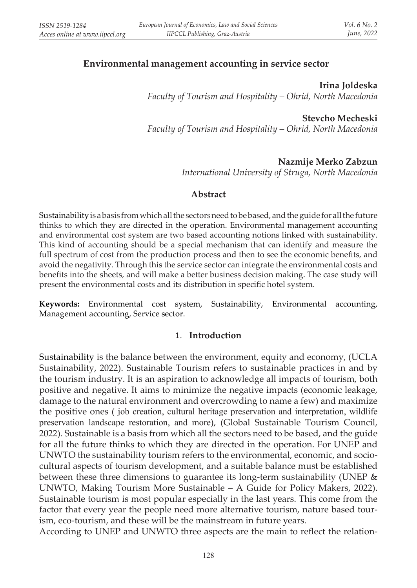## **Еnvironmental management accounting in service sector**

**Irina Joldeska** *Faculty of Tourism and Hospitality – Ohrid, North Macedonia*

**Stevcho Mecheski** *Faculty of Tourism and Hospitality – Ohrid, North Macedonia*

## **Nazmije Merko Zabzun**

*International University of Struga, North Macedonia*

#### **Abstract**

Sustainability is a basis from which all the sectors need to be based, and the guide for all the future thinks to which they are directed in the operation. Environmental management accounting and environmental cost system are two based accounting notions linked with sustainability. This kind of accounting should be a special mechanism that can identify and measure the full spectrum of cost from the production process and then to see the economic benefits, and avoid the negativity. Through this the service sector can integrate the environmental costs and benefits into the sheets, and will make a better business decision making. The case study will present the environmental costs and its distribution in specific hotel system.

**Keywords:** Environmental cost system, Sustainability, Environmental accounting, Management accounting, Service sector.

#### 1. **Introduction**

Sustainability is the balance between the environment, equity and economy, (UCLA Sustainability, 2022). Sustainable Tourism refers to sustainable practices in and by the tourism industry. It is an aspiration to acknowledge all impacts of tourism, both positive and negative. It aims to minimize the negative impacts (economic leakage, damage to the natural environment and overcrowding to name a few) and maximize the positive ones ( job creation, cultural heritage preservation and interpretation, wildlife preservation landscape restoration, and more), (Global Sustainable Tourism Council, 2022). Sustainable is a basis from which all the sectors need to be based, and the guide for all the future thinks to which they are directed in the operation. For UNEP and UNWTO the sustainability tourism refers to the environmental, economic, and sociocultural aspects of tourism development, and a suitable balance must be established between these three dimensions to guarantee its long-term sustainability (UNEP & UNWTO, Making Tourism More Sustainable – A Guide for Policy Makers, 2022). Sustainable tourism is most popular especially in the last years. This come from the factor that every year the people need more alternative tourism, nature based tourism, eco-tourism, and these will be the mainstream in future years.

According to UNEP and UNWTO three aspects are the main to reflect the relation-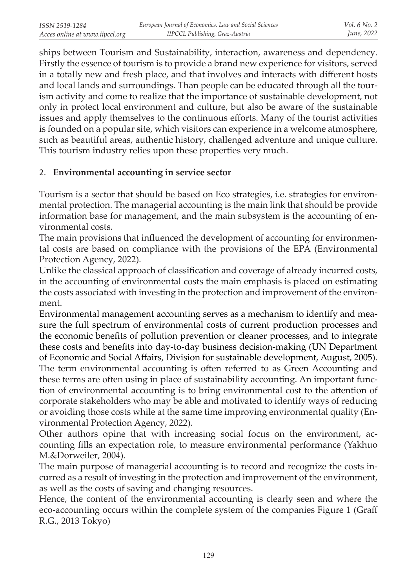ships between Tourism and Sustainability, interaction, awareness and dependency. Firstly the essence of tourism is to provide a brand new experience for visitors, served in a totally new and fresh place, and that involves and interacts with different hosts and local lands and surroundings. Than people can be educated through all the tourism activity and come to realize that the importance of sustainable development, not only in protect local environment and culture, but also be aware of the sustainable issues and apply themselves to the continuous efforts. Many of the tourist activities is founded on a popular site, which visitors can experience in a welcome atmosphere, such as beautiful areas, authentic history, challenged adventure and unique culture. This tourism industry relies upon these properties very much.

## 2. **Environmental accounting in service sector**

Tourism is a sector that should be based on Eco strategies, i.e. strategies for environmental protection. The managerial accounting is the main link that should be provide information base for management, and the main subsystem is the accounting of environmental costs.

The main provisions that influenced the development of accounting for environmental costs are based on compliance with the provisions of the EPA (Environmental Protection Agency, 2022).

Unlike the classical approach of classification and coverage of already incurred costs, in the accounting of environmental costs the main emphasis is placed on estimating the costs associated with investing in the protection and improvement of the environment.

Environmental management accounting serves as a mechanism to identify and measure the full spectrum of environmental costs of current production processes and the economic benefits of pollution prevention or cleaner processes, and to integrate these costs and benefits into day-to-day business decision-making (UN Department of Economic and Social Affairs, Division for sustainable development, August, 2005). The term environmental accounting is often referred to as Green Accounting and these terms are often using in place of sustainability accounting. An important function of environmental accounting is to bring environmental cost to the attention of corporate stakeholders who may be able and motivated to identify ways of reducing or avoiding those costs while at the same time improving environmental quality (Environmental Protection Agency, 2022).

Other authors opine that with increasing social focus on the environment, accounting fills an expectation role, to measure environmental performance (Yakhuo M.&Dorweiler, 2004).

The main purpose of managerial accounting is to record and recognize the costs incurred as a result of investing in the protection and improvement of the environment, as well as the costs of saving and changing resources.

Hence, the content of the environmental accounting is clearly seen and where the eco-accounting occurs within the complete system of the companies Figure 1 (Graff R.G., 2013 Tokyo)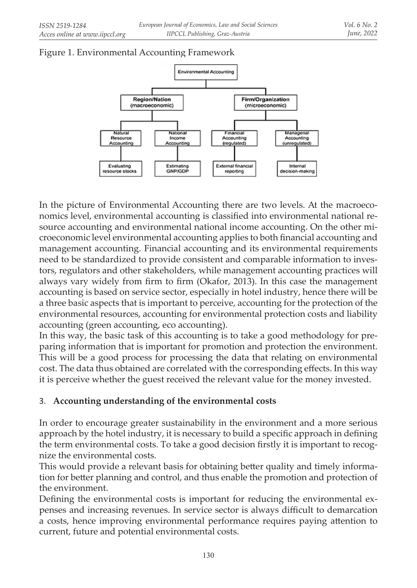# Figure 1. Environmental Accounting Framework



In the picture of Environmental Accounting there are two levels. At the macroeconomics level, environmental accounting is classified into environmental national resource accounting and environmental national income accounting. On the other microeconomic level environmental accounting applies to both financial accounting and management accounting. Financial accounting and its environmental requirements need to be standardized to provide consistent and comparable information to investors, regulators and other stakeholders, while management accounting practices will always vary widely from firm to firm (Okafor, 2013). In this case the management accounting is based on service sector, especially in hotel industry, hence there will be a three basic aspects that is important to perceive, accounting for the protection of the environmental resources, accounting for environmental protection costs and liability accounting (green accounting, eco accounting).

In this way, the basic task of this accounting is to take a good methodology for preparing information that is important for promotion and protection the environment. This will be a good process for processing the data that relating on environmental cost. The data thus obtained are correlated with the corresponding effects. In this way it is perceive whether the guest received the relevant value for the money invested.

# 3. **Accounting understanding of the environmental costs**

In order to encourage greater sustainability in the environment and a more serious approach by the hotel industry, it is necessary to build a specific approach in defining the term environmental costs. To take a good decision firstly it is important to recognize the environmental costs.

This would provide a relevant basis for obtaining better quality and timely information for better planning and control, and thus enable the promotion and protection of the environment.

Defining the environmental costs is important for reducing the environmental expenses and increasing revenues. In service sector is always difficult to demarcation a costs, hence improving environmental performance requires paying attention to current, future and potential environmental costs.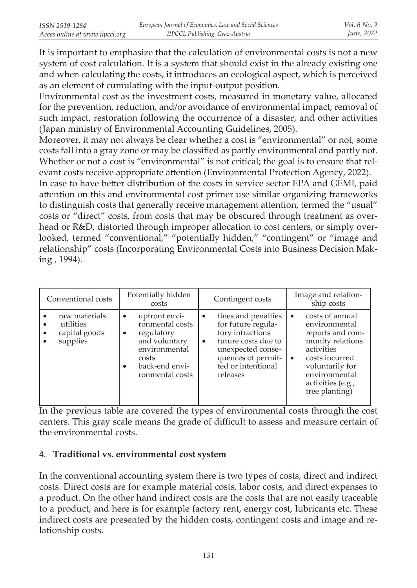It is important to emphasize that the calculation of environmental costs is not a new system of cost calculation. It is a system that should exist in the already existing one and when calculating the costs, it introduces an ecological aspect, which is perceived as an element of cumulating with the input-output position.

Environmental cost as the investment costs, measured in monetary value, allocated for the prevention, reduction, and/or avoidance of environmental impact, removal of such impact, restoration following the occurrence of a disaster, and other activities (Japan ministry of Environmental Accounting Guidelines, 2005).

Moreover, it may not always be clear whether a cost is "environmental" or not, some costs fall into a gray zone or may be classified as partly environmental and partly not. Whether or not a cost is "environmental" is not critical; the goal is to ensure that relevant costs receive appropriate attention (Environmental Protection Agency, 2022).

In case to have better distribution of the costs in service sector EPA and GEMI, paid attention on this and environmental cost primer use similar organizing frameworks to distinguish costs that generally receive management attention, termed the "usual" costs or "direct" costs, from costs that may be obscured through treatment as overhead or R&D, distorted through improper allocation to cost centers, or simply overlooked, termed "conventional," "potentially hidden," "contingent" or "image and relationship" costs (Incorporating Environmental Costs into Business Decision Making , 1994).

| Conventional costs                                                   | Potentially hidden<br>costs                                                                                                                      | Contingent costs                                                                                                                                                                            | Image and relation-<br>ship costs                                                                                                                                                                |
|----------------------------------------------------------------------|--------------------------------------------------------------------------------------------------------------------------------------------------|---------------------------------------------------------------------------------------------------------------------------------------------------------------------------------------------|--------------------------------------------------------------------------------------------------------------------------------------------------------------------------------------------------|
| raw materials<br>utilities<br>capital goods<br>$\bullet$<br>supplies | upfront envi-<br>$\bullet$<br>ronmental costs<br>regulatory<br>٠<br>and voluntary<br>environmental<br>costs<br>back-end envi-<br>ronmental costs | fines and penalties<br>$\bullet$<br>for future regula-<br>tory infractions<br>future costs due to<br>$\bullet$<br>unexpected conse-<br>quences of permit-<br>ted or intentional<br>releases | costs of annual<br>$\bullet$<br>environmental<br>reports and com-<br>munity relations<br>activities<br>costs incurred<br>voluntarily for<br>environmental<br>activities (e.g.,<br>tree planting) |

In the previous table are covered the types of environmental costs through the cost centers. This gray scale means the grade of difficult to assess and measure certain of the environmental costs.

## 4. **Traditional vs. environmental cost system**

In the conventional accounting system there is two types of costs, direct and indirect costs. Direct costs are for example material costs, labor costs, and direct expenses to a product. On the other hand indirect costs are the costs that are not easily traceable to a product, and here is for example factory rent, energy cost, lubricants etc. These indirect costs are presented by the hidden costs, contingent costs and image and relationship costs.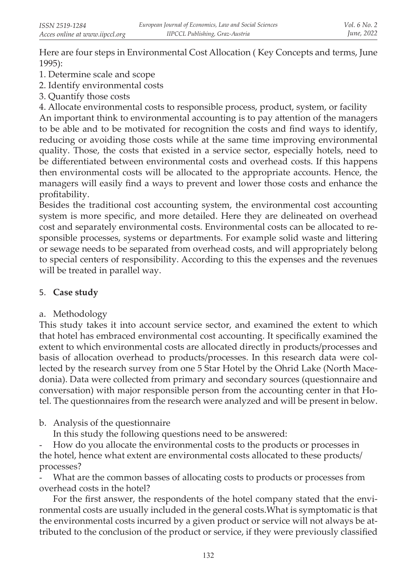Here are four steps in Environmental Cost Allocation ( Key Concepts and terms, June 1995):

- 1. Determine scale and scope
- 2. Identify environmental costs
- 3. Quantify those costs

4. Allocate environmental costs to responsible process, product, system, or facility

An important think to environmental accounting is to pay attention of the managers to be able and to be motivated for recognition the costs and find ways to identify, reducing or avoiding those costs while at the same time improving environmental quality. Those, the costs that existed in a service sector, especially hotels, need to be differentiated between environmental costs and overhead costs. If this happens then environmental costs will be allocated to the appropriate accounts. Hence, the managers will easily find a ways to prevent and lower those costs and enhance the profitability.

Besides the traditional cost accounting system, the environmental cost accounting system is more specific, and more detailed. Here they are delineated on overhead cost and separately environmental costs. Environmental costs can be allocated to responsible processes, systems or departments. For example solid waste and littering or sewage needs to be separated from overhead costs, and will appropriately belong to special centers of responsibility. According to this the expenses and the revenues will be treated in parallel way.

# 5. **Case study**

a. Methodology

This study takes it into account service sector, and examined the extent to which that hotel has embraced environmental cost accounting. It specifically examined the extent to which environmental costs are allocated directly in products/processes and basis of allocation overhead to products/processes. In this research data were collected by the research survey from one 5 Star Hotel by the Ohrid Lake (North Macedonia). Data were collected from primary and secondary sources (questionnaire and conversation) with major responsible person from the accounting center in that Hotel. The questionnaires from the research were analyzed and will be present in below.

b. Analysis of the questionnaire

In this study the following questions need to be answered:

- How do you allocate the environmental costs to the products or processes in the hotel, hence what extent are environmental costs allocated to these products/ processes?

What are the common basses of allocating costs to products or processes from overhead costs in the hotel?

For the first answer, the respondents of the hotel company stated that the environmental costs are usually included in the general costs.What is symptomatic is that the environmental costs incurred by a given product or service will not always be attributed to the conclusion of the product or service, if they were previously classified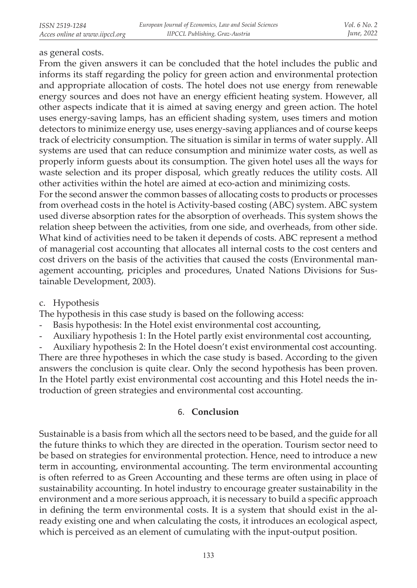### as general costs.

From the given answers it can be concluded that the hotel includes the public and informs its staff regarding the policy for green action and environmental protection and appropriate allocation of costs. The hotel does not use energy from renewable energy sources and does not have an energy efficient heating system. However, all other aspects indicate that it is aimed at saving energy and green action. The hotel uses energy-saving lamps, has an efficient shading system, uses timers and motion detectors to minimize energy use, uses energy-saving appliances and of course keeps track of electricity consumption. The situation is similar in terms of water supply. All systems are used that can reduce consumption and minimize water costs, as well as properly inform guests about its consumption. The given hotel uses all the ways for waste selection and its proper disposal, which greatly reduces the utility costs. All other activities within the hotel are aimed at eco-action and minimizing costs.

For the second answer the common basses of allocating costs to products or processes from overhead costs in the hotel is Activity-based costing (ABC) system. ABC system used diverse absorption rates for the absorption of overheads. This system shows the relation sheep between the activities, from one side, and overheads, from other side. What kind of activities need to be taken it depends of costs. ABC represent a method of managerial cost accounting that allocates all internal costs to the cost centers and cost drivers on the basis of the activities that caused the costs (Environmental management accounting, priciples and procedures, Unated Nations Divisions for Sustainable Development, 2003).

c. Hypothesis

The hypothesis in this case study is based on the following access:

- Basis hypothesis: In the Hotel exist environmental cost accounting,
- Auxiliary hypothesis 1: In the Hotel partly exist environmental cost accounting,

- Auxiliary hypothesis 2: In the Hotel doesn't exist environmental cost accounting. There are three hypotheses in which the case study is based. According to the given answers the conclusion is quite clear. Only the second hypothesis has been proven. In the Hotel partly exist environmental cost accounting and this Hotel needs the introduction of green strategies and environmental cost accounting.

### 6. **Conclusion**

Sustainable is a basis from which all the sectors need to be based, and the guide for all the future thinks to which they are directed in the operation. Tourism sector need to be based on strategies for environmental protection. Hence, need to introduce a new term in accounting, environmental accounting. The term environmental accounting is often referred to as Green Accounting and these terms are often using in place of sustainability accounting. In hotel industry to encourage greater sustainability in the environment and a more serious approach, it is necessary to build a specific approach in defining the term environmental costs. It is a system that should exist in the already existing one and when calculating the costs, it introduces an ecological aspect, which is perceived as an element of cumulating with the input-output position.